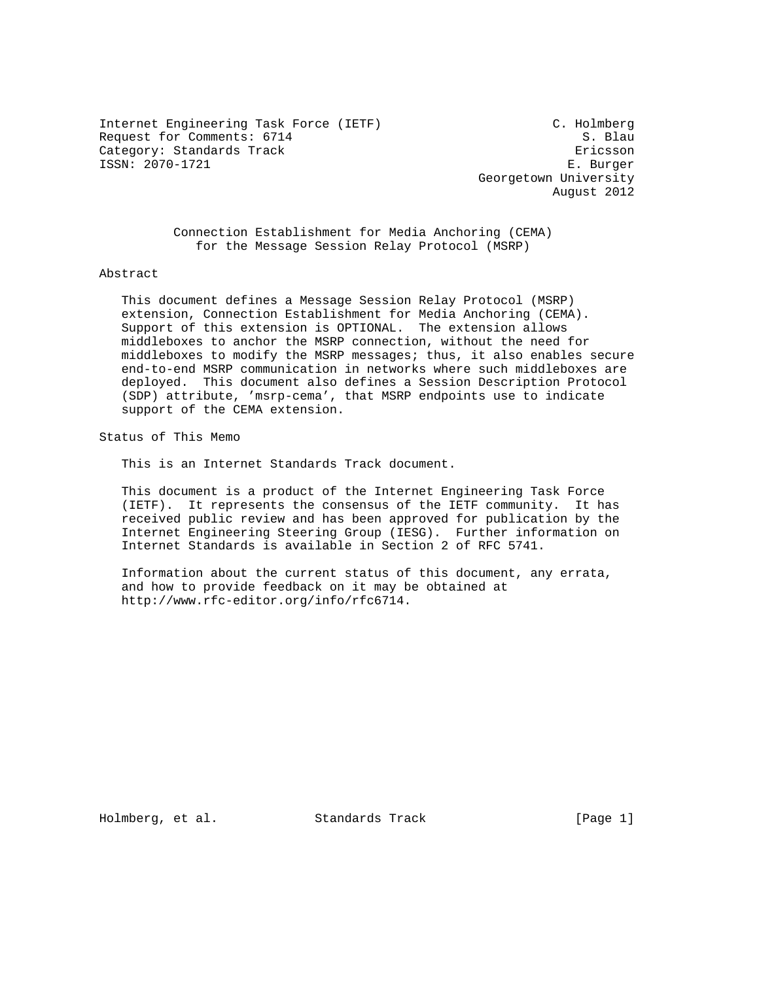Internet Engineering Task Force (IETF) C. Holmberg Request for Comments: 6714 S. Blau Category: Standards Track extending the extension of the Ericsson ISSN: 2070-1721 E. Burger

 Georgetown University August 2012

 Connection Establishment for Media Anchoring (CEMA) for the Message Session Relay Protocol (MSRP)

Abstract

 This document defines a Message Session Relay Protocol (MSRP) extension, Connection Establishment for Media Anchoring (CEMA). Support of this extension is OPTIONAL. The extension allows middleboxes to anchor the MSRP connection, without the need for middleboxes to modify the MSRP messages; thus, it also enables secure end-to-end MSRP communication in networks where such middleboxes are deployed. This document also defines a Session Description Protocol (SDP) attribute, 'msrp-cema', that MSRP endpoints use to indicate support of the CEMA extension.

Status of This Memo

This is an Internet Standards Track document.

 This document is a product of the Internet Engineering Task Force (IETF). It represents the consensus of the IETF community. It has received public review and has been approved for publication by the Internet Engineering Steering Group (IESG). Further information on Internet Standards is available in Section 2 of RFC 5741.

 Information about the current status of this document, any errata, and how to provide feedback on it may be obtained at http://www.rfc-editor.org/info/rfc6714.

Holmberg, et al. Standards Track [Page 1]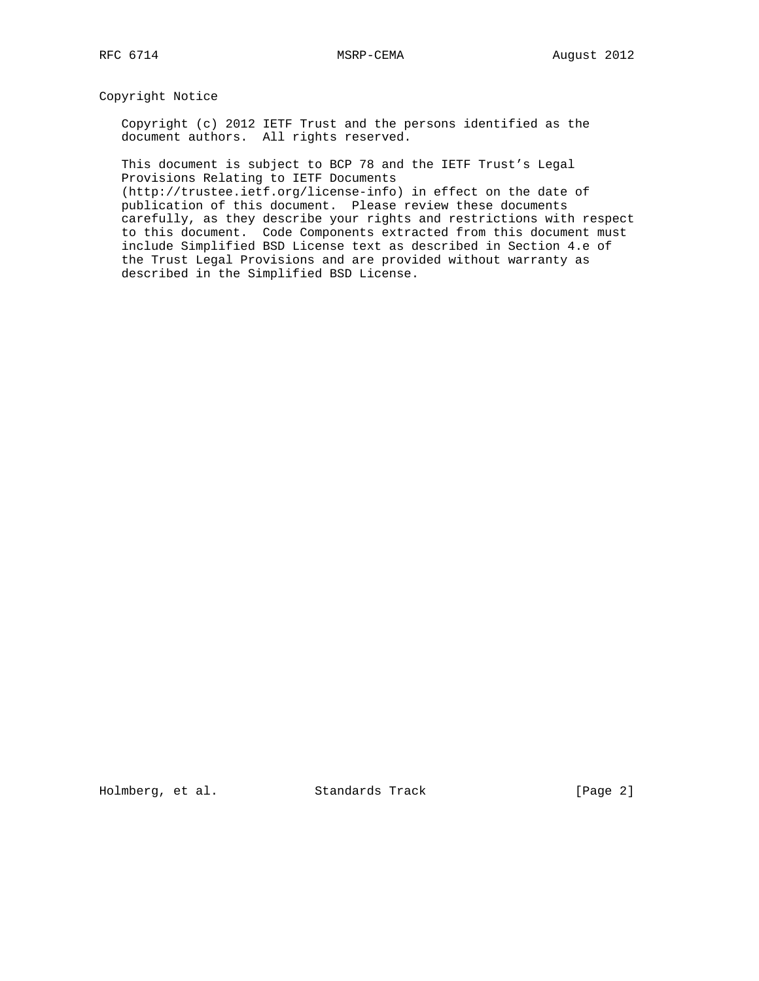Copyright Notice

 Copyright (c) 2012 IETF Trust and the persons identified as the document authors. All rights reserved.

 This document is subject to BCP 78 and the IETF Trust's Legal Provisions Relating to IETF Documents

 (http://trustee.ietf.org/license-info) in effect on the date of publication of this document. Please review these documents carefully, as they describe your rights and restrictions with respect to this document. Code Components extracted from this document must include Simplified BSD License text as described in Section 4.e of the Trust Legal Provisions and are provided without warranty as described in the Simplified BSD License.

Holmberg, et al. Standards Track [Page 2]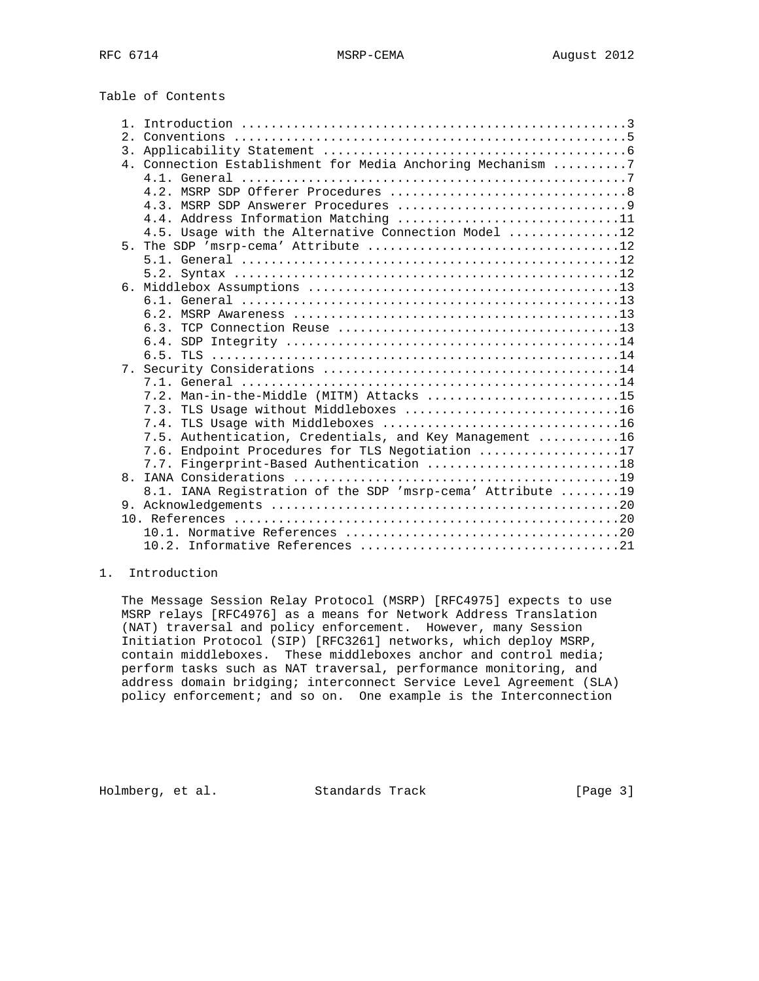|  | Table of Contents |
|--|-------------------|
|--|-------------------|

| Conventions $\ldots \ldots \ldots \ldots \ldots \ldots \ldots \ldots \ldots \ldots \ldots \ldots$<br>2. |  |
|---------------------------------------------------------------------------------------------------------|--|
| 3.                                                                                                      |  |
| 4. Connection Establishment for Media Anchoring Mechanism 7                                             |  |
|                                                                                                         |  |
|                                                                                                         |  |
|                                                                                                         |  |
| 4.4. Address Information Matching 11                                                                    |  |
| 4.5. Usage with the Alternative Connection Model 12                                                     |  |
| 5.                                                                                                      |  |
|                                                                                                         |  |
|                                                                                                         |  |
|                                                                                                         |  |
|                                                                                                         |  |
|                                                                                                         |  |
|                                                                                                         |  |
|                                                                                                         |  |
|                                                                                                         |  |
|                                                                                                         |  |
|                                                                                                         |  |
| 7.2. Man-in-the-Middle (MITM) Attacks 15                                                                |  |
| 7.3. TLS Usage without Middleboxes 16                                                                   |  |
| 7.4.                                                                                                    |  |
| 7.5. Authentication, Credentials, and Key Management 16                                                 |  |
| 7.6. Endpoint Procedures for TLS Negotiation 17                                                         |  |
| 7.7. Fingerprint-Based Authentication 18                                                                |  |
| 8 <sub>1</sub>                                                                                          |  |
| 8.1. IANA Registration of the SDP 'msrp-cema' Attribute  19                                             |  |
|                                                                                                         |  |
|                                                                                                         |  |
|                                                                                                         |  |
|                                                                                                         |  |

## 1. Introduction

 The Message Session Relay Protocol (MSRP) [RFC4975] expects to use MSRP relays [RFC4976] as a means for Network Address Translation (NAT) traversal and policy enforcement. However, many Session Initiation Protocol (SIP) [RFC3261] networks, which deploy MSRP, contain middleboxes. These middleboxes anchor and control media; perform tasks such as NAT traversal, performance monitoring, and address domain bridging; interconnect Service Level Agreement (SLA) policy enforcement; and so on. One example is the Interconnection

Holmberg, et al. Standards Track [Page 3]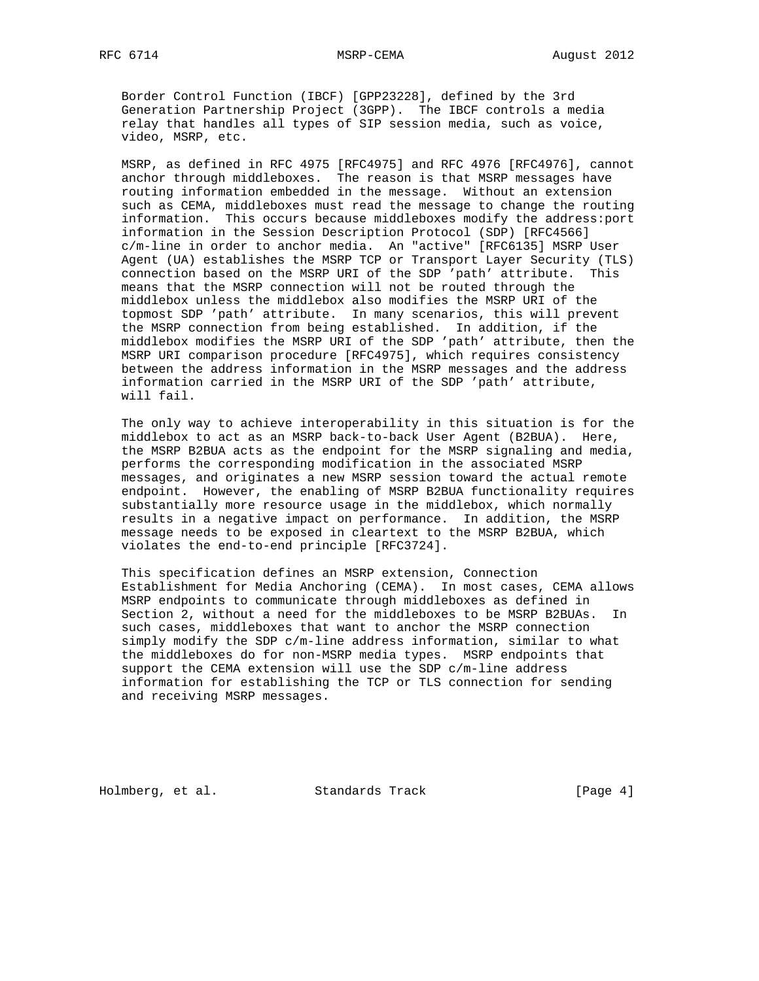Border Control Function (IBCF) [GPP23228], defined by the 3rd Generation Partnership Project (3GPP). The IBCF controls a media relay that handles all types of SIP session media, such as voice, video, MSRP, etc.

 MSRP, as defined in RFC 4975 [RFC4975] and RFC 4976 [RFC4976], cannot anchor through middleboxes. The reason is that MSRP messages have routing information embedded in the message. Without an extension such as CEMA, middleboxes must read the message to change the routing information. This occurs because middleboxes modify the address:port information in the Session Description Protocol (SDP) [RFC4566] c/m-line in order to anchor media. An "active" [RFC6135] MSRP User Agent (UA) establishes the MSRP TCP or Transport Layer Security (TLS) connection based on the MSRP URI of the SDP 'path' attribute. This means that the MSRP connection will not be routed through the middlebox unless the middlebox also modifies the MSRP URI of the topmost SDP 'path' attribute. In many scenarios, this will prevent the MSRP connection from being established. In addition, if the middlebox modifies the MSRP URI of the SDP 'path' attribute, then the MSRP URI comparison procedure [RFC4975], which requires consistency between the address information in the MSRP messages and the address information carried in the MSRP URI of the SDP 'path' attribute, will fail.

 The only way to achieve interoperability in this situation is for the middlebox to act as an MSRP back-to-back User Agent (B2BUA). Here, the MSRP B2BUA acts as the endpoint for the MSRP signaling and media, performs the corresponding modification in the associated MSRP messages, and originates a new MSRP session toward the actual remote endpoint. However, the enabling of MSRP B2BUA functionality requires substantially more resource usage in the middlebox, which normally results in a negative impact on performance. In addition, the MSRP message needs to be exposed in cleartext to the MSRP B2BUA, which violates the end-to-end principle [RFC3724].

 This specification defines an MSRP extension, Connection Establishment for Media Anchoring (CEMA). In most cases, CEMA allows MSRP endpoints to communicate through middleboxes as defined in Section 2, without a need for the middleboxes to be MSRP B2BUAs. In such cases, middleboxes that want to anchor the MSRP connection simply modify the SDP c/m-line address information, similar to what the middleboxes do for non-MSRP media types. MSRP endpoints that support the CEMA extension will use the SDP c/m-line address information for establishing the TCP or TLS connection for sending and receiving MSRP messages.

Holmberg, et al. Standards Track [Page 4]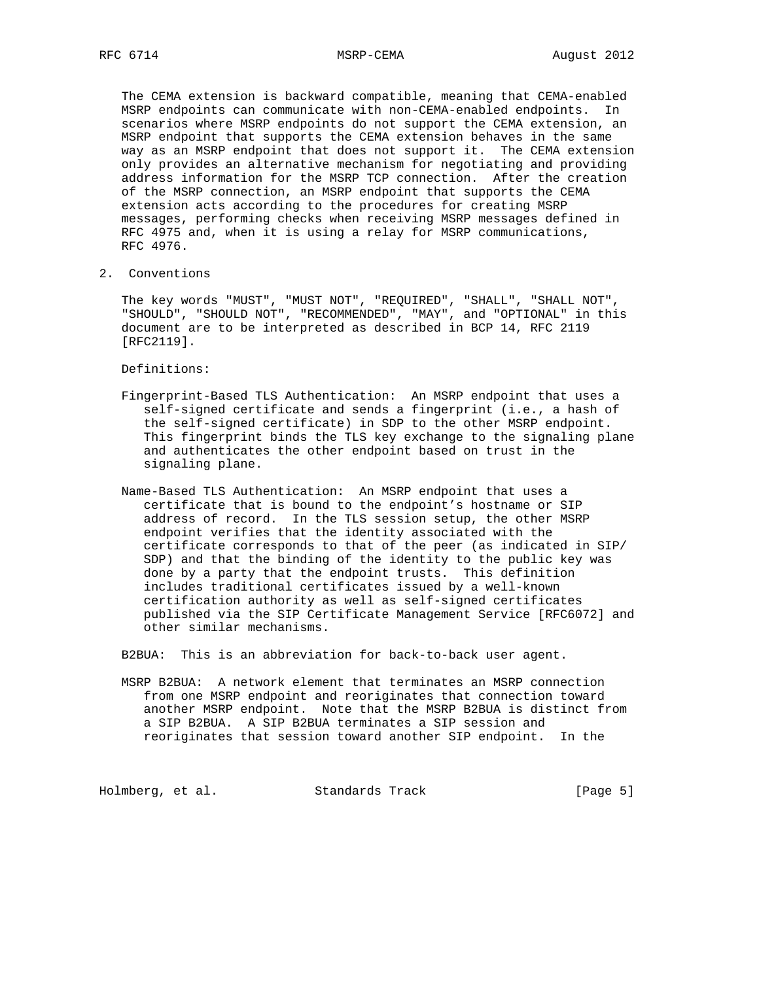The CEMA extension is backward compatible, meaning that CEMA-enabled MSRP endpoints can communicate with non-CEMA-enabled endpoints. In scenarios where MSRP endpoints do not support the CEMA extension, an MSRP endpoint that supports the CEMA extension behaves in the same way as an MSRP endpoint that does not support it. The CEMA extension only provides an alternative mechanism for negotiating and providing address information for the MSRP TCP connection. After the creation of the MSRP connection, an MSRP endpoint that supports the CEMA extension acts according to the procedures for creating MSRP messages, performing checks when receiving MSRP messages defined in RFC 4975 and, when it is using a relay for MSRP communications, RFC 4976.

2. Conventions

 The key words "MUST", "MUST NOT", "REQUIRED", "SHALL", "SHALL NOT", "SHOULD", "SHOULD NOT", "RECOMMENDED", "MAY", and "OPTIONAL" in this document are to be interpreted as described in BCP 14, RFC 2119 [RFC2119].

Definitions:

- Fingerprint-Based TLS Authentication: An MSRP endpoint that uses a self-signed certificate and sends a fingerprint (i.e., a hash of the self-signed certificate) in SDP to the other MSRP endpoint. This fingerprint binds the TLS key exchange to the signaling plane and authenticates the other endpoint based on trust in the signaling plane.
- Name-Based TLS Authentication: An MSRP endpoint that uses a certificate that is bound to the endpoint's hostname or SIP address of record. In the TLS session setup, the other MSRP endpoint verifies that the identity associated with the certificate corresponds to that of the peer (as indicated in SIP/ SDP) and that the binding of the identity to the public key was done by a party that the endpoint trusts. This definition includes traditional certificates issued by a well-known certification authority as well as self-signed certificates published via the SIP Certificate Management Service [RFC6072] and other similar mechanisms.

B2BUA: This is an abbreviation for back-to-back user agent.

 MSRP B2BUA: A network element that terminates an MSRP connection from one MSRP endpoint and reoriginates that connection toward another MSRP endpoint. Note that the MSRP B2BUA is distinct from a SIP B2BUA. A SIP B2BUA terminates a SIP session and reoriginates that session toward another SIP endpoint. In the

Holmberg, et al. Standards Track [Page 5]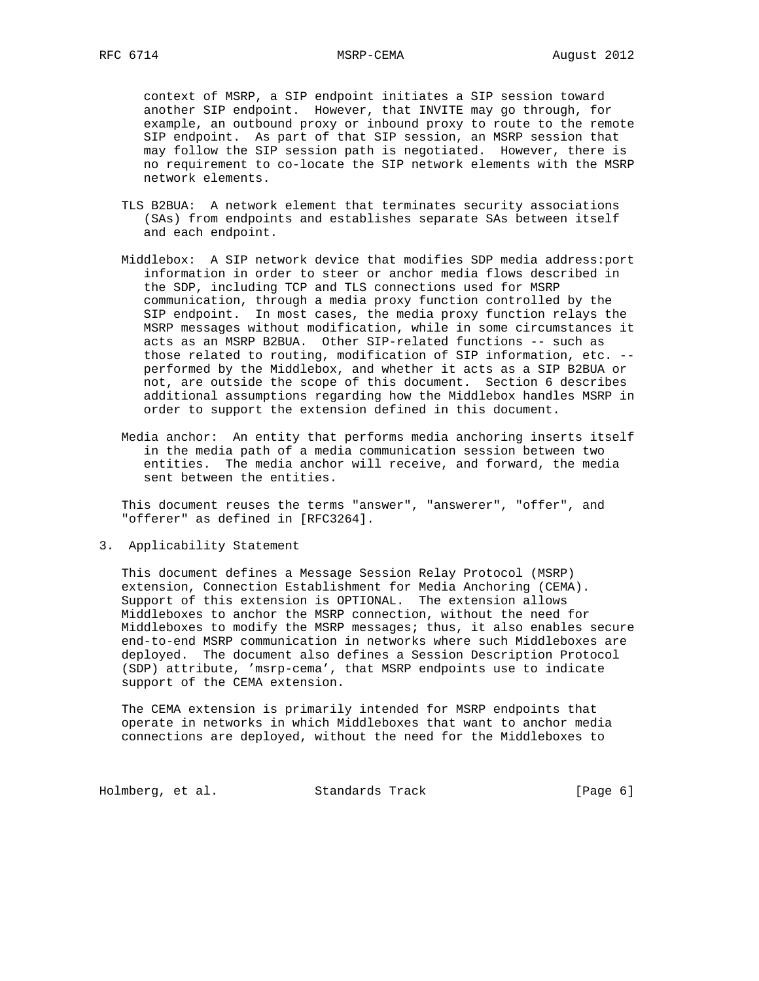context of MSRP, a SIP endpoint initiates a SIP session toward another SIP endpoint. However, that INVITE may go through, for example, an outbound proxy or inbound proxy to route to the remote SIP endpoint. As part of that SIP session, an MSRP session that may follow the SIP session path is negotiated. However, there is no requirement to co-locate the SIP network elements with the MSRP network elements.

- TLS B2BUA: A network element that terminates security associations (SAs) from endpoints and establishes separate SAs between itself and each endpoint.
- Middlebox: A SIP network device that modifies SDP media address:port information in order to steer or anchor media flows described in the SDP, including TCP and TLS connections used for MSRP communication, through a media proxy function controlled by the SIP endpoint. In most cases, the media proxy function relays the MSRP messages without modification, while in some circumstances it acts as an MSRP B2BUA. Other SIP-related functions -- such as those related to routing, modification of SIP information, etc. - performed by the Middlebox, and whether it acts as a SIP B2BUA or not, are outside the scope of this document. Section 6 describes additional assumptions regarding how the Middlebox handles MSRP in order to support the extension defined in this document.
- Media anchor: An entity that performs media anchoring inserts itself in the media path of a media communication session between two entities. The media anchor will receive, and forward, the media sent between the entities.

 This document reuses the terms "answer", "answerer", "offer", and "offerer" as defined in [RFC3264].

3. Applicability Statement

 This document defines a Message Session Relay Protocol (MSRP) extension, Connection Establishment for Media Anchoring (CEMA). Support of this extension is OPTIONAL. The extension allows Middleboxes to anchor the MSRP connection, without the need for Middleboxes to modify the MSRP messages; thus, it also enables secure end-to-end MSRP communication in networks where such Middleboxes are deployed. The document also defines a Session Description Protocol (SDP) attribute, 'msrp-cema', that MSRP endpoints use to indicate support of the CEMA extension.

 The CEMA extension is primarily intended for MSRP endpoints that operate in networks in which Middleboxes that want to anchor media connections are deployed, without the need for the Middleboxes to

Holmberg, et al. Standards Track [Page 6]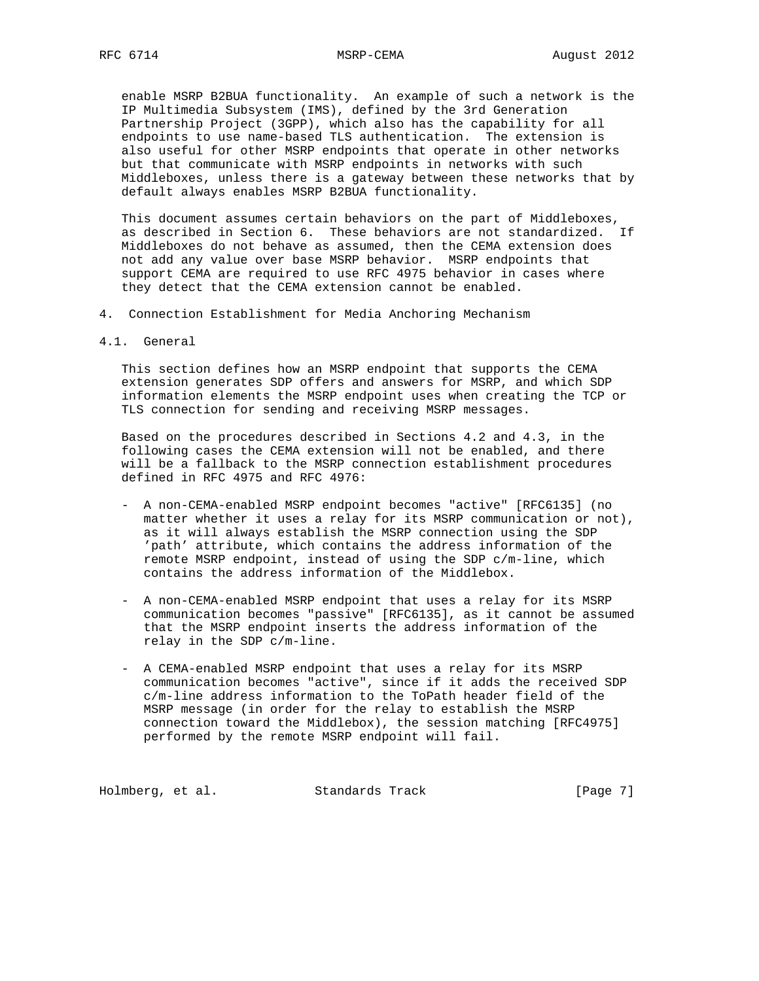enable MSRP B2BUA functionality. An example of such a network is the IP Multimedia Subsystem (IMS), defined by the 3rd Generation Partnership Project (3GPP), which also has the capability for all endpoints to use name-based TLS authentication. The extension is also useful for other MSRP endpoints that operate in other networks but that communicate with MSRP endpoints in networks with such Middleboxes, unless there is a gateway between these networks that by default always enables MSRP B2BUA functionality.

 This document assumes certain behaviors on the part of Middleboxes, as described in Section 6. These behaviors are not standardized. If Middleboxes do not behave as assumed, then the CEMA extension does not add any value over base MSRP behavior. MSRP endpoints that support CEMA are required to use RFC 4975 behavior in cases where they detect that the CEMA extension cannot be enabled.

- 4. Connection Establishment for Media Anchoring Mechanism
- 4.1. General

 This section defines how an MSRP endpoint that supports the CEMA extension generates SDP offers and answers for MSRP, and which SDP information elements the MSRP endpoint uses when creating the TCP or TLS connection for sending and receiving MSRP messages.

 Based on the procedures described in Sections 4.2 and 4.3, in the following cases the CEMA extension will not be enabled, and there will be a fallback to the MSRP connection establishment procedures defined in RFC 4975 and RFC 4976:

- A non-CEMA-enabled MSRP endpoint becomes "active" [RFC6135] (no matter whether it uses a relay for its MSRP communication or not), as it will always establish the MSRP connection using the SDP 'path' attribute, which contains the address information of the remote MSRP endpoint, instead of using the SDP c/m-line, which contains the address information of the Middlebox.
- A non-CEMA-enabled MSRP endpoint that uses a relay for its MSRP communication becomes "passive" [RFC6135], as it cannot be assumed that the MSRP endpoint inserts the address information of the relay in the SDP c/m-line.
- A CEMA-enabled MSRP endpoint that uses a relay for its MSRP communication becomes "active", since if it adds the received SDP c/m-line address information to the ToPath header field of the MSRP message (in order for the relay to establish the MSRP connection toward the Middlebox), the session matching [RFC4975] performed by the remote MSRP endpoint will fail.

Holmberg, et al. Standards Track [Page 7]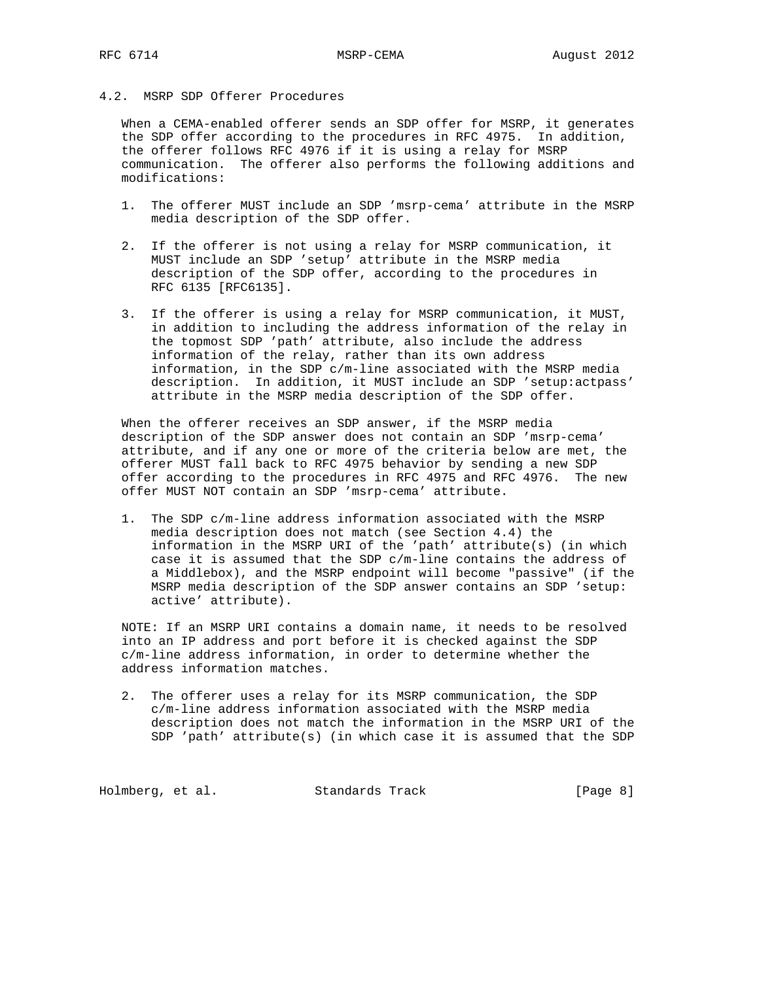# 4.2. MSRP SDP Offerer Procedures

 When a CEMA-enabled offerer sends an SDP offer for MSRP, it generates the SDP offer according to the procedures in RFC 4975. In addition, the offerer follows RFC 4976 if it is using a relay for MSRP communication. The offerer also performs the following additions and modifications:

- 1. The offerer MUST include an SDP 'msrp-cema' attribute in the MSRP media description of the SDP offer.
- 2. If the offerer is not using a relay for MSRP communication, it MUST include an SDP 'setup' attribute in the MSRP media description of the SDP offer, according to the procedures in RFC 6135 [RFC6135].
- 3. If the offerer is using a relay for MSRP communication, it MUST, in addition to including the address information of the relay in the topmost SDP 'path' attribute, also include the address information of the relay, rather than its own address information, in the SDP c/m-line associated with the MSRP media description. In addition, it MUST include an SDP 'setup:actpass' attribute in the MSRP media description of the SDP offer.

 When the offerer receives an SDP answer, if the MSRP media description of the SDP answer does not contain an SDP 'msrp-cema' attribute, and if any one or more of the criteria below are met, the offerer MUST fall back to RFC 4975 behavior by sending a new SDP offer according to the procedures in RFC 4975 and RFC 4976. The new offer MUST NOT contain an SDP 'msrp-cema' attribute.

 1. The SDP c/m-line address information associated with the MSRP media description does not match (see Section 4.4) the information in the MSRP URI of the 'path' attribute(s) (in which case it is assumed that the SDP c/m-line contains the address of a Middlebox), and the MSRP endpoint will become "passive" (if the MSRP media description of the SDP answer contains an SDP 'setup: active' attribute).

 NOTE: If an MSRP URI contains a domain name, it needs to be resolved into an IP address and port before it is checked against the SDP c/m-line address information, in order to determine whether the address information matches.

 2. The offerer uses a relay for its MSRP communication, the SDP c/m-line address information associated with the MSRP media description does not match the information in the MSRP URI of the SDP 'path' attribute(s) (in which case it is assumed that the SDP

Holmberg, et al. Standards Track [Page 8]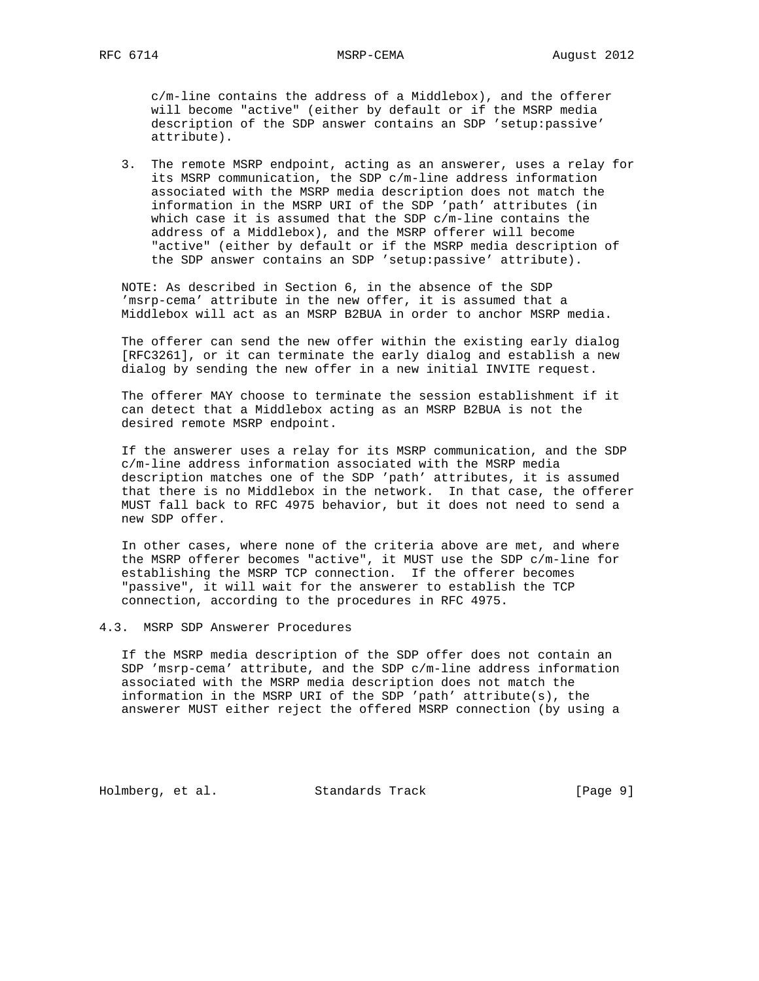c/m-line contains the address of a Middlebox), and the offerer will become "active" (either by default or if the MSRP media description of the SDP answer contains an SDP 'setup:passive' attribute).

 3. The remote MSRP endpoint, acting as an answerer, uses a relay for its MSRP communication, the SDP c/m-line address information associated with the MSRP media description does not match the information in the MSRP URI of the SDP 'path' attributes (in which case it is assumed that the SDP c/m-line contains the address of a Middlebox), and the MSRP offerer will become "active" (either by default or if the MSRP media description of the SDP answer contains an SDP 'setup:passive' attribute).

 NOTE: As described in Section 6, in the absence of the SDP 'msrp-cema' attribute in the new offer, it is assumed that a Middlebox will act as an MSRP B2BUA in order to anchor MSRP media.

 The offerer can send the new offer within the existing early dialog [RFC3261], or it can terminate the early dialog and establish a new dialog by sending the new offer in a new initial INVITE request.

 The offerer MAY choose to terminate the session establishment if it can detect that a Middlebox acting as an MSRP B2BUA is not the desired remote MSRP endpoint.

 If the answerer uses a relay for its MSRP communication, and the SDP c/m-line address information associated with the MSRP media description matches one of the SDP 'path' attributes, it is assumed that there is no Middlebox in the network. In that case, the offerer MUST fall back to RFC 4975 behavior, but it does not need to send a new SDP offer.

 In other cases, where none of the criteria above are met, and where the MSRP offerer becomes "active", it MUST use the SDP c/m-line for establishing the MSRP TCP connection. If the offerer becomes "passive", it will wait for the answerer to establish the TCP connection, according to the procedures in RFC 4975.

4.3. MSRP SDP Answerer Procedures

 If the MSRP media description of the SDP offer does not contain an SDP 'msrp-cema' attribute, and the SDP c/m-line address information associated with the MSRP media description does not match the information in the MSRP URI of the SDP 'path' attribute(s), the answerer MUST either reject the offered MSRP connection (by using a

Holmberg, et al. Standards Track [Page 9]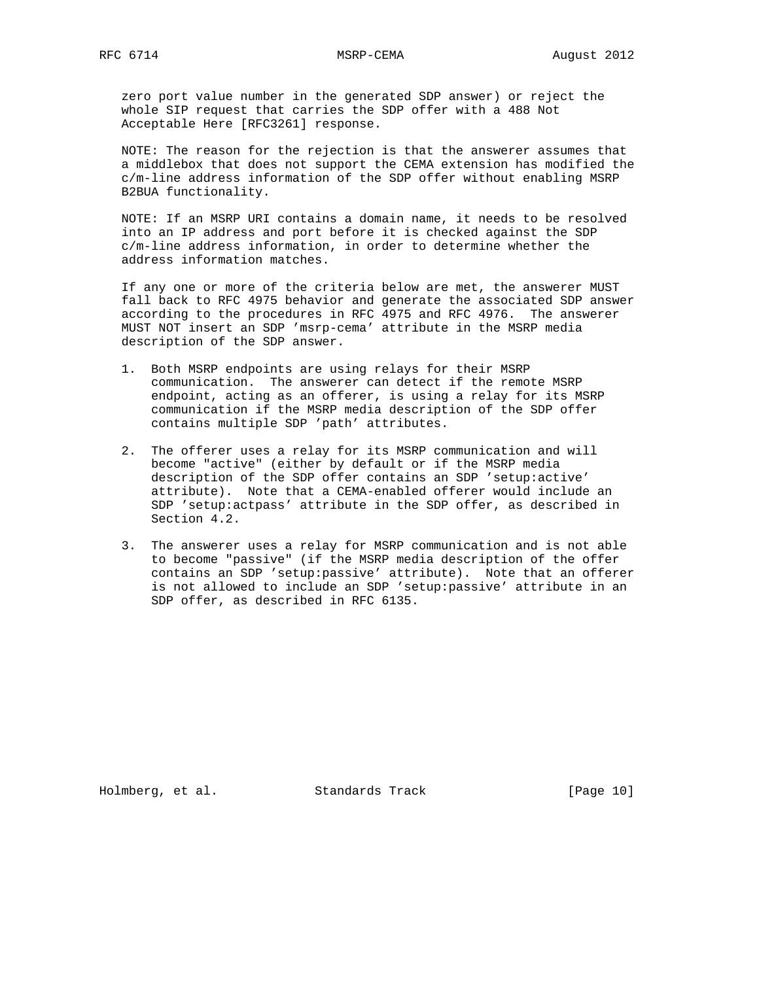zero port value number in the generated SDP answer) or reject the whole SIP request that carries the SDP offer with a 488 Not Acceptable Here [RFC3261] response.

 NOTE: The reason for the rejection is that the answerer assumes that a middlebox that does not support the CEMA extension has modified the c/m-line address information of the SDP offer without enabling MSRP B2BUA functionality.

 NOTE: If an MSRP URI contains a domain name, it needs to be resolved into an IP address and port before it is checked against the SDP c/m-line address information, in order to determine whether the address information matches.

 If any one or more of the criteria below are met, the answerer MUST fall back to RFC 4975 behavior and generate the associated SDP answer according to the procedures in RFC 4975 and RFC 4976. The answerer MUST NOT insert an SDP 'msrp-cema' attribute in the MSRP media description of the SDP answer.

- 1. Both MSRP endpoints are using relays for their MSRP communication. The answerer can detect if the remote MSRP endpoint, acting as an offerer, is using a relay for its MSRP communication if the MSRP media description of the SDP offer contains multiple SDP 'path' attributes.
- 2. The offerer uses a relay for its MSRP communication and will become "active" (either by default or if the MSRP media description of the SDP offer contains an SDP 'setup:active' attribute). Note that a CEMA-enabled offerer would include an SDP 'setup:actpass' attribute in the SDP offer, as described in Section 4.2.
- 3. The answerer uses a relay for MSRP communication and is not able to become "passive" (if the MSRP media description of the offer contains an SDP 'setup:passive' attribute). Note that an offerer is not allowed to include an SDP 'setup:passive' attribute in an SDP offer, as described in RFC 6135.

Holmberg, et al. Standards Track [Page 10]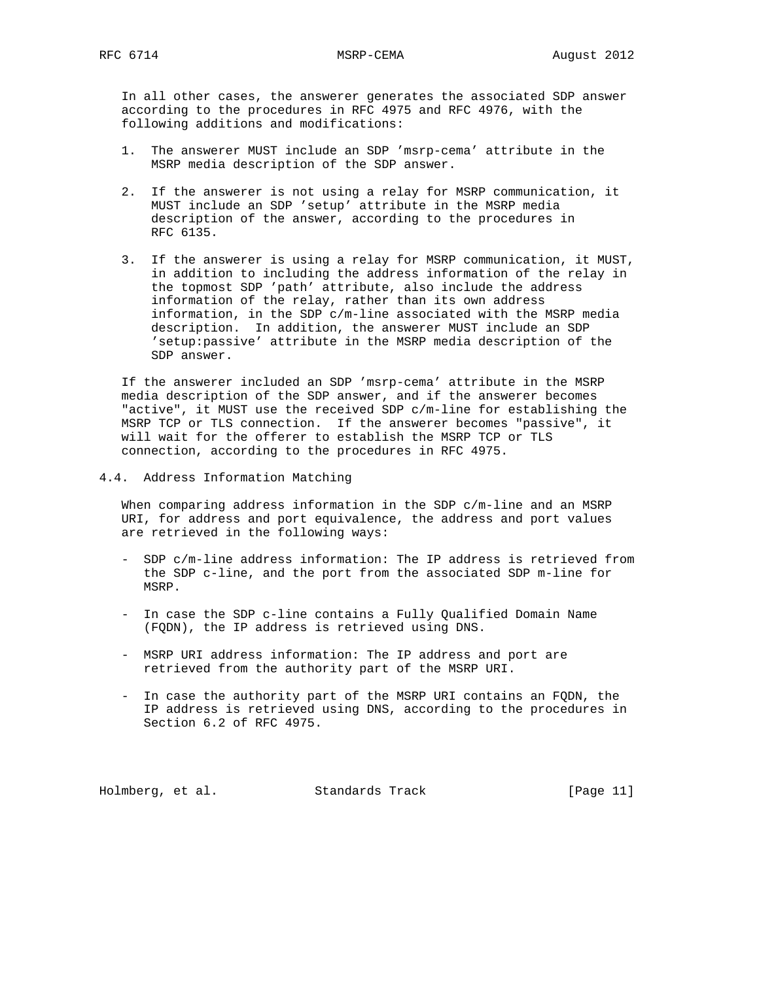In all other cases, the answerer generates the associated SDP answer according to the procedures in RFC 4975 and RFC 4976, with the following additions and modifications:

- 1. The answerer MUST include an SDP 'msrp-cema' attribute in the MSRP media description of the SDP answer.
- 2. If the answerer is not using a relay for MSRP communication, it MUST include an SDP 'setup' attribute in the MSRP media description of the answer, according to the procedures in RFC 6135.
- 3. If the answerer is using a relay for MSRP communication, it MUST, in addition to including the address information of the relay in the topmost SDP 'path' attribute, also include the address information of the relay, rather than its own address information, in the SDP c/m-line associated with the MSRP media description. In addition, the answerer MUST include an SDP 'setup:passive' attribute in the MSRP media description of the SDP answer.

 If the answerer included an SDP 'msrp-cema' attribute in the MSRP media description of the SDP answer, and if the answerer becomes "active", it MUST use the received SDP c/m-line for establishing the MSRP TCP or TLS connection. If the answerer becomes "passive", it will wait for the offerer to establish the MSRP TCP or TLS connection, according to the procedures in RFC 4975.

4.4. Address Information Matching

 When comparing address information in the SDP c/m-line and an MSRP URI, for address and port equivalence, the address and port values are retrieved in the following ways:

- SDP c/m-line address information: The IP address is retrieved from the SDP c-line, and the port from the associated SDP m-line for MSRP.
- In case the SDP c-line contains a Fully Qualified Domain Name (FQDN), the IP address is retrieved using DNS.
- MSRP URI address information: The IP address and port are retrieved from the authority part of the MSRP URI.
- In case the authority part of the MSRP URI contains an FQDN, the IP address is retrieved using DNS, according to the procedures in Section 6.2 of RFC 4975.

Holmberg, et al. Standards Track [Page 11]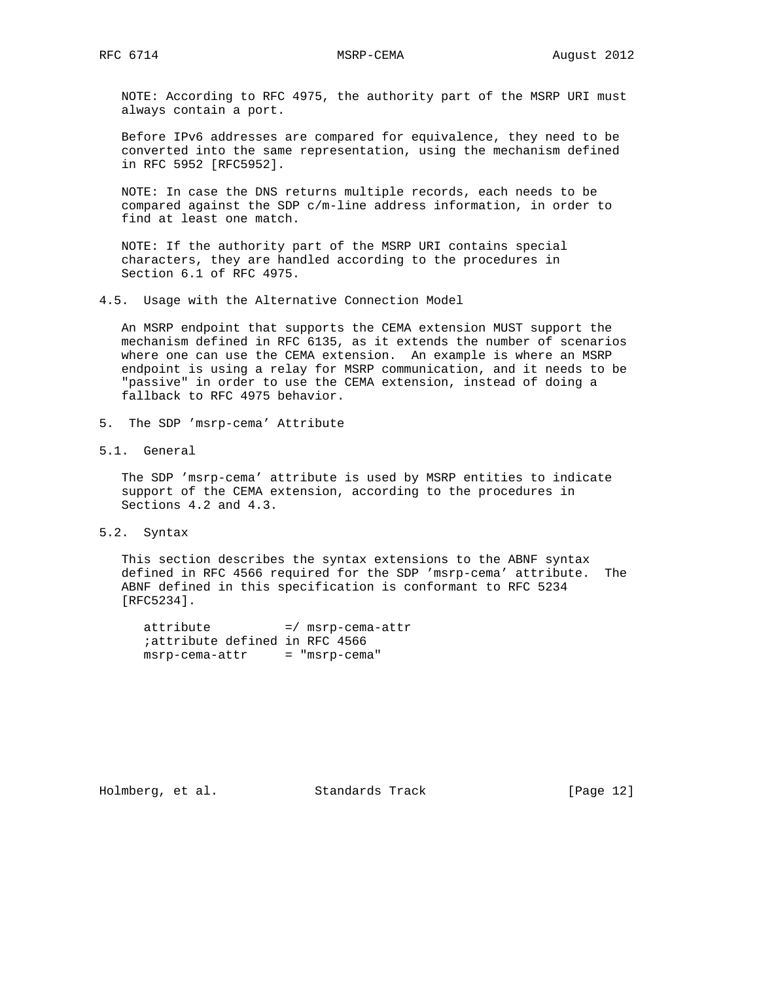NOTE: According to RFC 4975, the authority part of the MSRP URI must always contain a port.

 Before IPv6 addresses are compared for equivalence, they need to be converted into the same representation, using the mechanism defined in RFC 5952 [RFC5952].

 NOTE: In case the DNS returns multiple records, each needs to be compared against the SDP c/m-line address information, in order to find at least one match.

 NOTE: If the authority part of the MSRP URI contains special characters, they are handled according to the procedures in Section 6.1 of RFC 4975.

4.5. Usage with the Alternative Connection Model

 An MSRP endpoint that supports the CEMA extension MUST support the mechanism defined in RFC 6135, as it extends the number of scenarios where one can use the CEMA extension. An example is where an MSRP endpoint is using a relay for MSRP communication, and it needs to be "passive" in order to use the CEMA extension, instead of doing a fallback to RFC 4975 behavior.

5. The SDP 'msrp-cema' Attribute

5.1. General

 The SDP 'msrp-cema' attribute is used by MSRP entities to indicate support of the CEMA extension, according to the procedures in Sections 4.2 and 4.3.

5.2. Syntax

 This section describes the syntax extensions to the ABNF syntax defined in RFC 4566 required for the SDP 'msrp-cema' attribute. The ABNF defined in this specification is conformant to RFC 5234 [RFC5234].

 attribute =/ msrp-cema-attr ;attribute defined in RFC 4566 msrp-cema-attr = "msrp-cema"

Holmberg, et al. Standards Track [Page 12]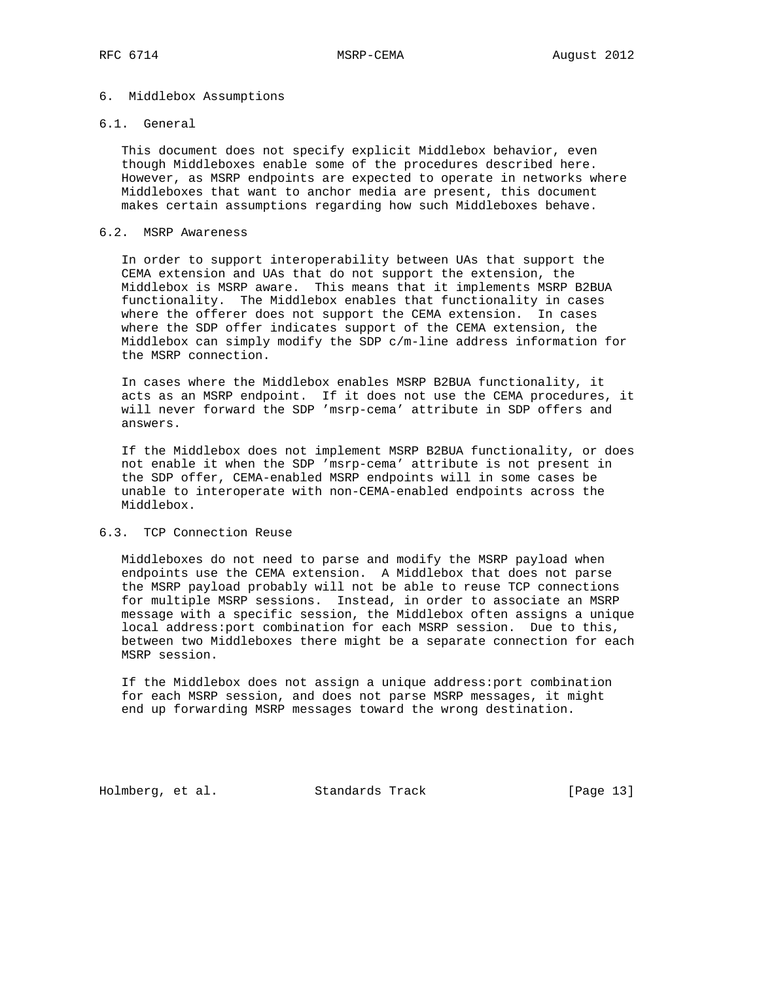#### 6. Middlebox Assumptions

## 6.1. General

 This document does not specify explicit Middlebox behavior, even though Middleboxes enable some of the procedures described here. However, as MSRP endpoints are expected to operate in networks where Middleboxes that want to anchor media are present, this document makes certain assumptions regarding how such Middleboxes behave.

## 6.2. MSRP Awareness

 In order to support interoperability between UAs that support the CEMA extension and UAs that do not support the extension, the Middlebox is MSRP aware. This means that it implements MSRP B2BUA functionality. The Middlebox enables that functionality in cases where the offerer does not support the CEMA extension. In cases where the SDP offer indicates support of the CEMA extension, the Middlebox can simply modify the SDP c/m-line address information for the MSRP connection.

 In cases where the Middlebox enables MSRP B2BUA functionality, it acts as an MSRP endpoint. If it does not use the CEMA procedures, it will never forward the SDP 'msrp-cema' attribute in SDP offers and answers.

 If the Middlebox does not implement MSRP B2BUA functionality, or does not enable it when the SDP 'msrp-cema' attribute is not present in the SDP offer, CEMA-enabled MSRP endpoints will in some cases be unable to interoperate with non-CEMA-enabled endpoints across the Middlebox.

# 6.3. TCP Connection Reuse

 Middleboxes do not need to parse and modify the MSRP payload when endpoints use the CEMA extension. A Middlebox that does not parse the MSRP payload probably will not be able to reuse TCP connections for multiple MSRP sessions. Instead, in order to associate an MSRP message with a specific session, the Middlebox often assigns a unique local address:port combination for each MSRP session. Due to this, between two Middleboxes there might be a separate connection for each MSRP session.

 If the Middlebox does not assign a unique address:port combination for each MSRP session, and does not parse MSRP messages, it might end up forwarding MSRP messages toward the wrong destination.

Holmberg, et al. Standards Track [Page 13]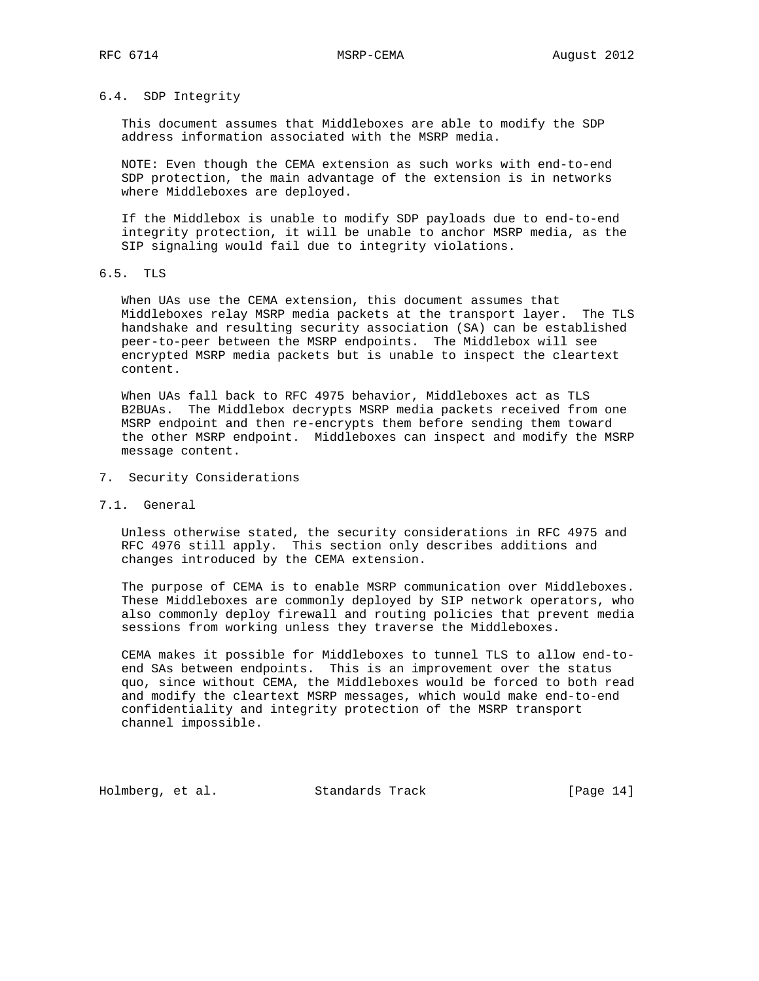## 6.4. SDP Integrity

 This document assumes that Middleboxes are able to modify the SDP address information associated with the MSRP media.

 NOTE: Even though the CEMA extension as such works with end-to-end SDP protection, the main advantage of the extension is in networks where Middleboxes are deployed.

 If the Middlebox is unable to modify SDP payloads due to end-to-end integrity protection, it will be unable to anchor MSRP media, as the SIP signaling would fail due to integrity violations.

# 6.5. TLS

 When UAs use the CEMA extension, this document assumes that Middleboxes relay MSRP media packets at the transport layer. The TLS handshake and resulting security association (SA) can be established peer-to-peer between the MSRP endpoints. The Middlebox will see encrypted MSRP media packets but is unable to inspect the cleartext content.

 When UAs fall back to RFC 4975 behavior, Middleboxes act as TLS B2BUAs. The Middlebox decrypts MSRP media packets received from one MSRP endpoint and then re-encrypts them before sending them toward the other MSRP endpoint. Middleboxes can inspect and modify the MSRP message content.

7. Security Considerations

#### 7.1. General

 Unless otherwise stated, the security considerations in RFC 4975 and RFC 4976 still apply. This section only describes additions and changes introduced by the CEMA extension.

 The purpose of CEMA is to enable MSRP communication over Middleboxes. These Middleboxes are commonly deployed by SIP network operators, who also commonly deploy firewall and routing policies that prevent media sessions from working unless they traverse the Middleboxes.

 CEMA makes it possible for Middleboxes to tunnel TLS to allow end-to end SAs between endpoints. This is an improvement over the status quo, since without CEMA, the Middleboxes would be forced to both read and modify the cleartext MSRP messages, which would make end-to-end confidentiality and integrity protection of the MSRP transport channel impossible.

Holmberg, et al. Standards Track [Page 14]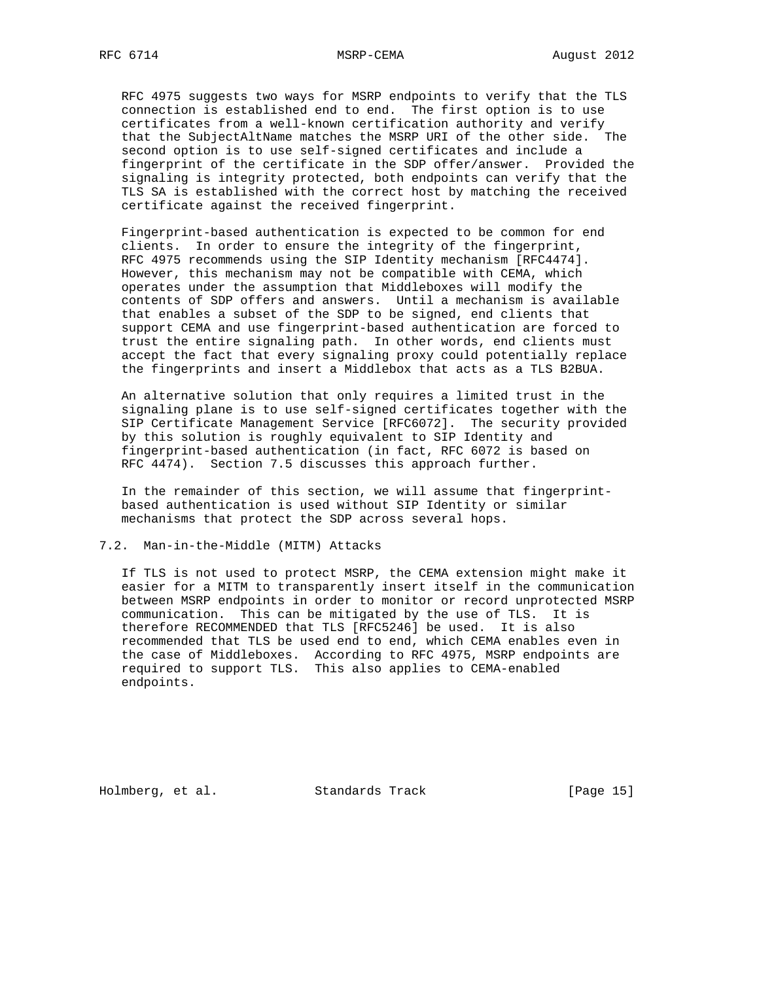RFC 4975 suggests two ways for MSRP endpoints to verify that the TLS connection is established end to end. The first option is to use certificates from a well-known certification authority and verify that the SubjectAltName matches the MSRP URI of the other side. The second option is to use self-signed certificates and include a fingerprint of the certificate in the SDP offer/answer. Provided the signaling is integrity protected, both endpoints can verify that the TLS SA is established with the correct host by matching the received certificate against the received fingerprint.

 Fingerprint-based authentication is expected to be common for end clients. In order to ensure the integrity of the fingerprint, RFC 4975 recommends using the SIP Identity mechanism [RFC4474]. However, this mechanism may not be compatible with CEMA, which operates under the assumption that Middleboxes will modify the contents of SDP offers and answers. Until a mechanism is available that enables a subset of the SDP to be signed, end clients that support CEMA and use fingerprint-based authentication are forced to trust the entire signaling path. In other words, end clients must accept the fact that every signaling proxy could potentially replace the fingerprints and insert a Middlebox that acts as a TLS B2BUA.

 An alternative solution that only requires a limited trust in the signaling plane is to use self-signed certificates together with the SIP Certificate Management Service [RFC6072]. The security provided by this solution is roughly equivalent to SIP Identity and fingerprint-based authentication (in fact, RFC 6072 is based on RFC 4474). Section 7.5 discusses this approach further.

 In the remainder of this section, we will assume that fingerprint based authentication is used without SIP Identity or similar mechanisms that protect the SDP across several hops.

### 7.2. Man-in-the-Middle (MITM) Attacks

 If TLS is not used to protect MSRP, the CEMA extension might make it easier for a MITM to transparently insert itself in the communication between MSRP endpoints in order to monitor or record unprotected MSRP communication. This can be mitigated by the use of TLS. It is therefore RECOMMENDED that TLS [RFC5246] be used. It is also recommended that TLS be used end to end, which CEMA enables even in the case of Middleboxes. According to RFC 4975, MSRP endpoints are required to support TLS. This also applies to CEMA-enabled endpoints.

Holmberg, et al. Standards Track [Page 15]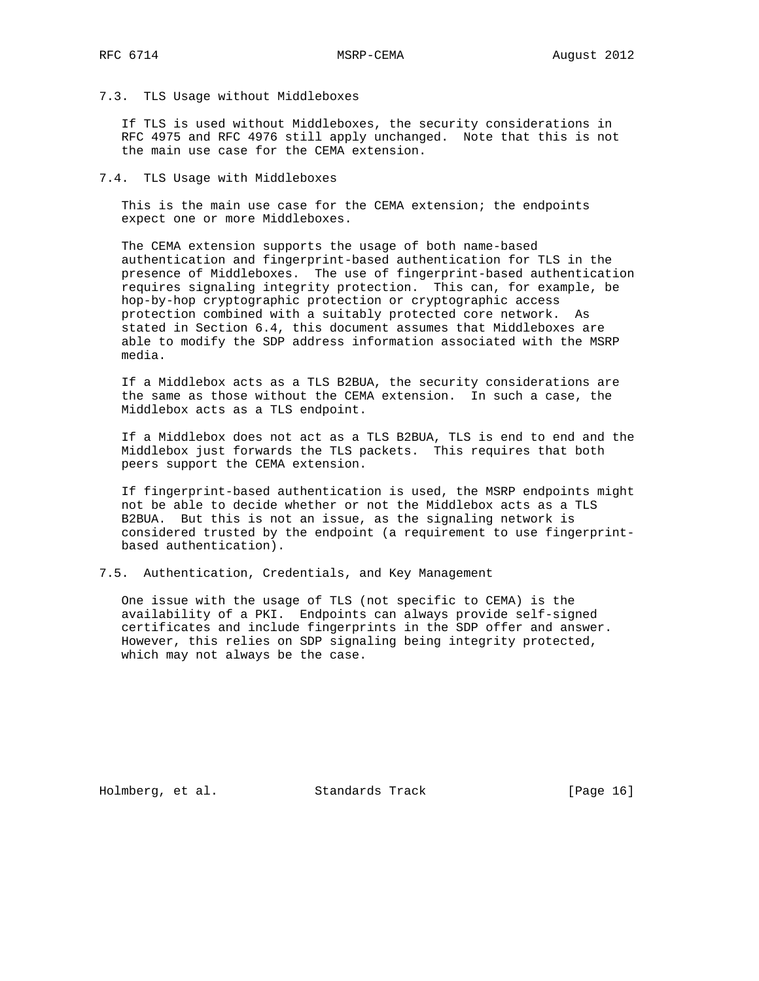## 7.3. TLS Usage without Middleboxes

 If TLS is used without Middleboxes, the security considerations in RFC 4975 and RFC 4976 still apply unchanged. Note that this is not the main use case for the CEMA extension.

#### 7.4. TLS Usage with Middleboxes

 This is the main use case for the CEMA extension; the endpoints expect one or more Middleboxes.

 The CEMA extension supports the usage of both name-based authentication and fingerprint-based authentication for TLS in the presence of Middleboxes. The use of fingerprint-based authentication requires signaling integrity protection. This can, for example, be hop-by-hop cryptographic protection or cryptographic access protection combined with a suitably protected core network. As stated in Section 6.4, this document assumes that Middleboxes are able to modify the SDP address information associated with the MSRP media.

 If a Middlebox acts as a TLS B2BUA, the security considerations are the same as those without the CEMA extension. In such a case, the Middlebox acts as a TLS endpoint.

 If a Middlebox does not act as a TLS B2BUA, TLS is end to end and the Middlebox just forwards the TLS packets. This requires that both peers support the CEMA extension.

 If fingerprint-based authentication is used, the MSRP endpoints might not be able to decide whether or not the Middlebox acts as a TLS B2BUA. But this is not an issue, as the signaling network is considered trusted by the endpoint (a requirement to use fingerprint based authentication).

7.5. Authentication, Credentials, and Key Management

 One issue with the usage of TLS (not specific to CEMA) is the availability of a PKI. Endpoints can always provide self-signed certificates and include fingerprints in the SDP offer and answer. However, this relies on SDP signaling being integrity protected, which may not always be the case.

Holmberg, et al. Standards Track [Page 16]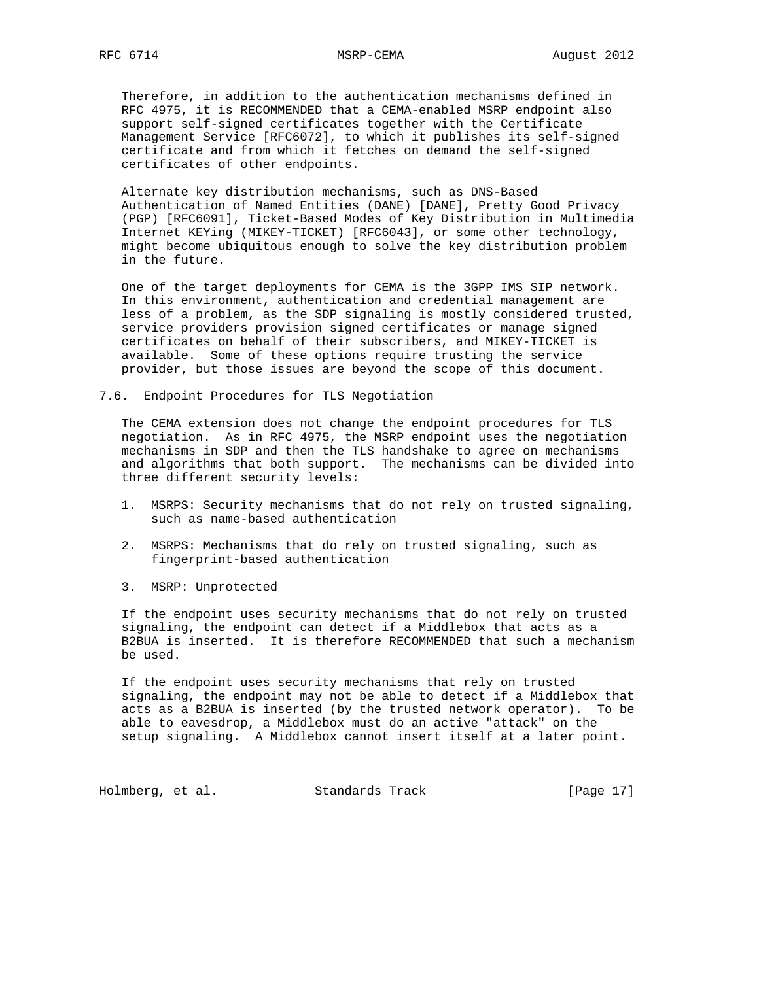Therefore, in addition to the authentication mechanisms defined in RFC 4975, it is RECOMMENDED that a CEMA-enabled MSRP endpoint also support self-signed certificates together with the Certificate Management Service [RFC6072], to which it publishes its self-signed certificate and from which it fetches on demand the self-signed certificates of other endpoints.

 Alternate key distribution mechanisms, such as DNS-Based Authentication of Named Entities (DANE) [DANE], Pretty Good Privacy (PGP) [RFC6091], Ticket-Based Modes of Key Distribution in Multimedia Internet KEYing (MIKEY-TICKET) [RFC6043], or some other technology, might become ubiquitous enough to solve the key distribution problem in the future.

 One of the target deployments for CEMA is the 3GPP IMS SIP network. In this environment, authentication and credential management are less of a problem, as the SDP signaling is mostly considered trusted, service providers provision signed certificates or manage signed certificates on behalf of their subscribers, and MIKEY-TICKET is available. Some of these options require trusting the service provider, but those issues are beyond the scope of this document.

7.6. Endpoint Procedures for TLS Negotiation

 The CEMA extension does not change the endpoint procedures for TLS negotiation. As in RFC 4975, the MSRP endpoint uses the negotiation mechanisms in SDP and then the TLS handshake to agree on mechanisms and algorithms that both support. The mechanisms can be divided into three different security levels:

- 1. MSRPS: Security mechanisms that do not rely on trusted signaling, such as name-based authentication
- 2. MSRPS: Mechanisms that do rely on trusted signaling, such as fingerprint-based authentication
- 3. MSRP: Unprotected

 If the endpoint uses security mechanisms that do not rely on trusted signaling, the endpoint can detect if a Middlebox that acts as a B2BUA is inserted. It is therefore RECOMMENDED that such a mechanism be used.

 If the endpoint uses security mechanisms that rely on trusted signaling, the endpoint may not be able to detect if a Middlebox that acts as a B2BUA is inserted (by the trusted network operator). To be able to eavesdrop, a Middlebox must do an active "attack" on the setup signaling. A Middlebox cannot insert itself at a later point.

Holmberg, et al. Standards Track [Page 17]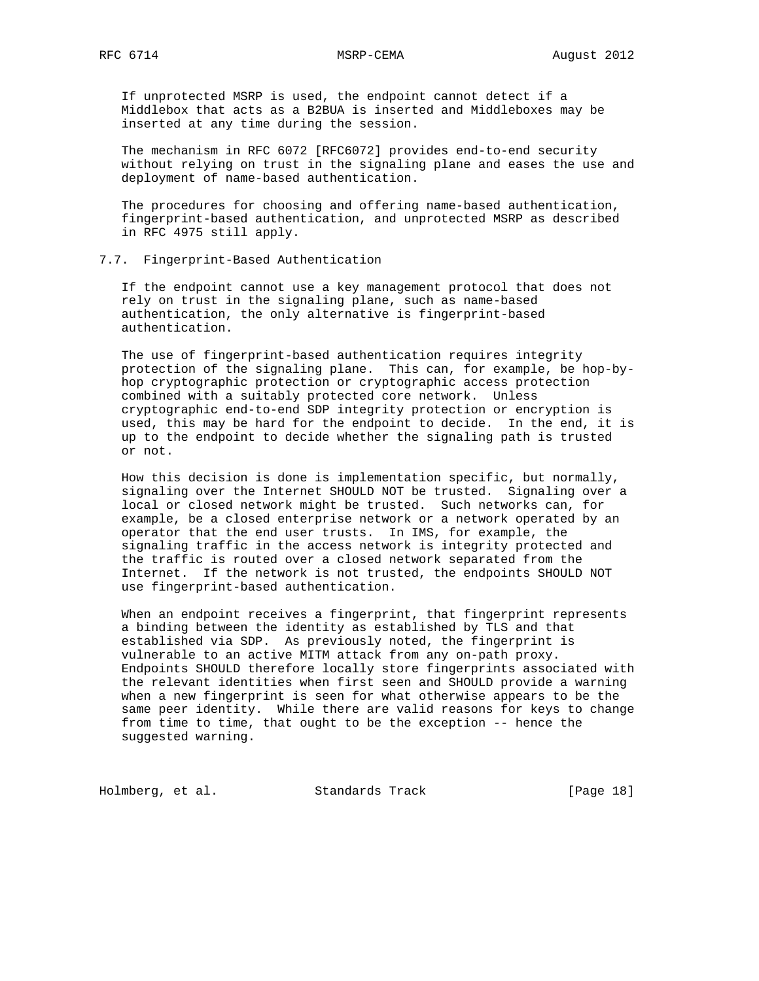If unprotected MSRP is used, the endpoint cannot detect if a Middlebox that acts as a B2BUA is inserted and Middleboxes may be inserted at any time during the session.

 The mechanism in RFC 6072 [RFC6072] provides end-to-end security without relying on trust in the signaling plane and eases the use and deployment of name-based authentication.

 The procedures for choosing and offering name-based authentication, fingerprint-based authentication, and unprotected MSRP as described in RFC 4975 still apply.

## 7.7. Fingerprint-Based Authentication

 If the endpoint cannot use a key management protocol that does not rely on trust in the signaling plane, such as name-based authentication, the only alternative is fingerprint-based authentication.

 The use of fingerprint-based authentication requires integrity protection of the signaling plane. This can, for example, be hop-by hop cryptographic protection or cryptographic access protection combined with a suitably protected core network. Unless cryptographic end-to-end SDP integrity protection or encryption is used, this may be hard for the endpoint to decide. In the end, it is up to the endpoint to decide whether the signaling path is trusted or not.

 How this decision is done is implementation specific, but normally, signaling over the Internet SHOULD NOT be trusted. Signaling over a local or closed network might be trusted. Such networks can, for example, be a closed enterprise network or a network operated by an operator that the end user trusts. In IMS, for example, the signaling traffic in the access network is integrity protected and the traffic is routed over a closed network separated from the Internet. If the network is not trusted, the endpoints SHOULD NOT use fingerprint-based authentication.

 When an endpoint receives a fingerprint, that fingerprint represents a binding between the identity as established by TLS and that established via SDP. As previously noted, the fingerprint is vulnerable to an active MITM attack from any on-path proxy. Endpoints SHOULD therefore locally store fingerprints associated with the relevant identities when first seen and SHOULD provide a warning when a new fingerprint is seen for what otherwise appears to be the same peer identity. While there are valid reasons for keys to change from time to time, that ought to be the exception -- hence the suggested warning.

Holmberg, et al. Standards Track [Page 18]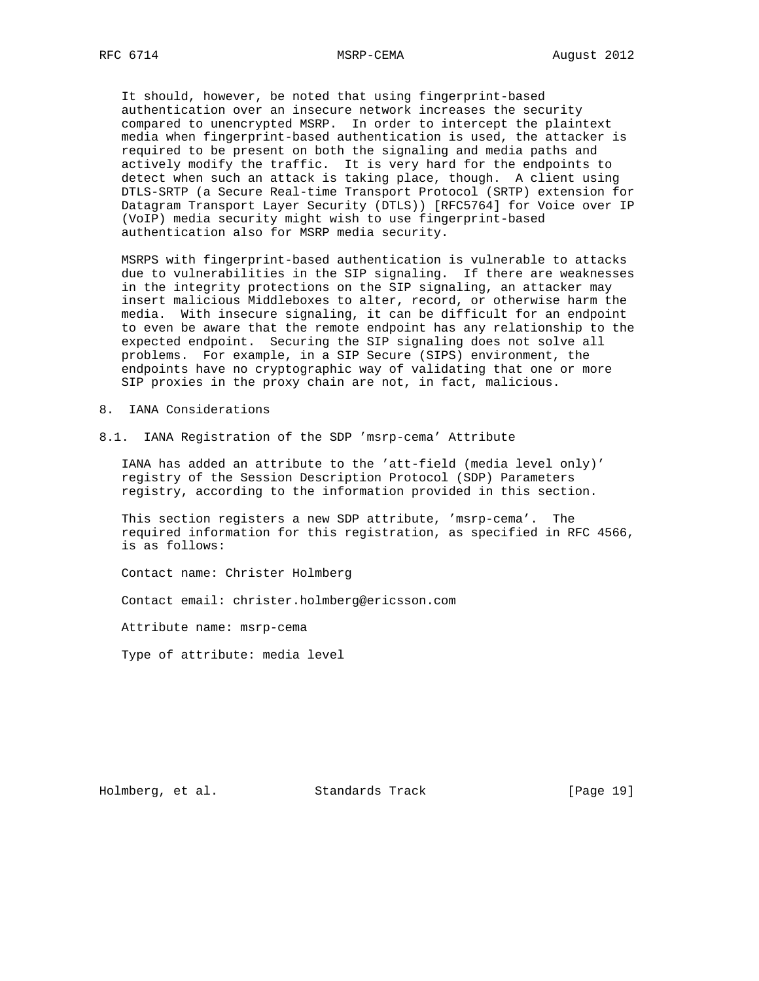It should, however, be noted that using fingerprint-based authentication over an insecure network increases the security compared to unencrypted MSRP. In order to intercept the plaintext media when fingerprint-based authentication is used, the attacker is required to be present on both the signaling and media paths and actively modify the traffic. It is very hard for the endpoints to detect when such an attack is taking place, though. A client using DTLS-SRTP (a Secure Real-time Transport Protocol (SRTP) extension for Datagram Transport Layer Security (DTLS)) [RFC5764] for Voice over IP (VoIP) media security might wish to use fingerprint-based authentication also for MSRP media security.

 MSRPS with fingerprint-based authentication is vulnerable to attacks due to vulnerabilities in the SIP signaling. If there are weaknesses in the integrity protections on the SIP signaling, an attacker may insert malicious Middleboxes to alter, record, or otherwise harm the media. With insecure signaling, it can be difficult for an endpoint to even be aware that the remote endpoint has any relationship to the expected endpoint. Securing the SIP signaling does not solve all problems. For example, in a SIP Secure (SIPS) environment, the endpoints have no cryptographic way of validating that one or more SIP proxies in the proxy chain are not, in fact, malicious.

- 8. IANA Considerations
- 8.1. IANA Registration of the SDP 'msrp-cema' Attribute

 IANA has added an attribute to the 'att-field (media level only)' registry of the Session Description Protocol (SDP) Parameters registry, according to the information provided in this section.

 This section registers a new SDP attribute, 'msrp-cema'. The required information for this registration, as specified in RFC 4566, is as follows:

Contact name: Christer Holmberg

Contact email: christer.holmberg@ericsson.com

Attribute name: msrp-cema

Type of attribute: media level

Holmberg, et al. Standards Track [Page 19]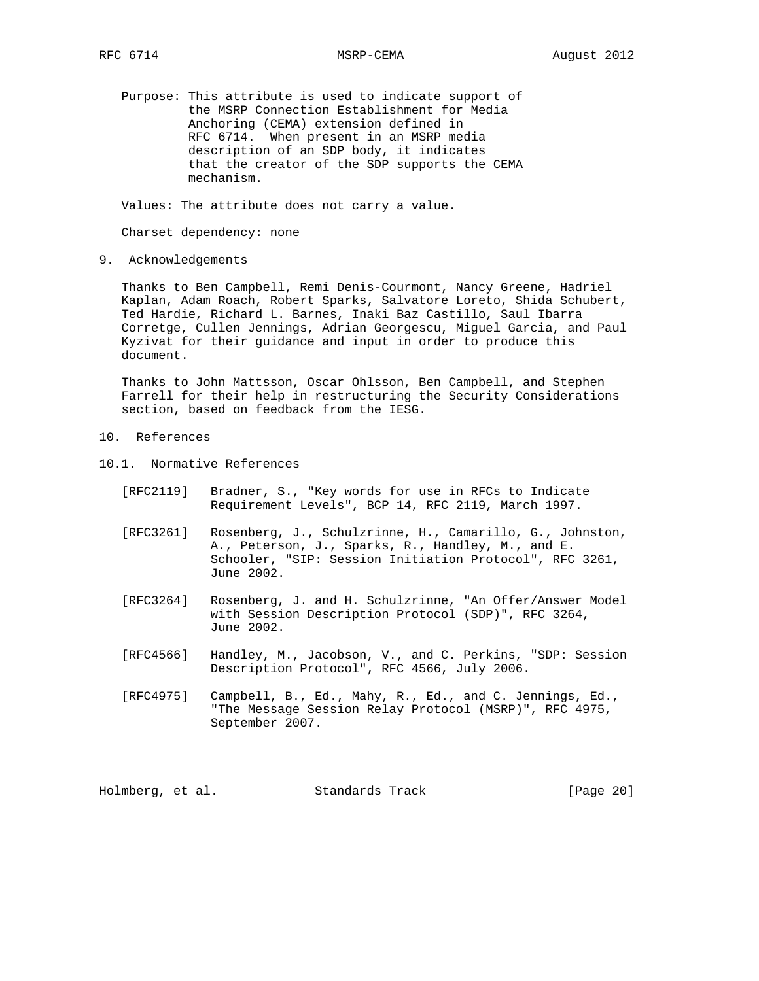Purpose: This attribute is used to indicate support of the MSRP Connection Establishment for Media Anchoring (CEMA) extension defined in RFC 6714. When present in an MSRP media description of an SDP body, it indicates that the creator of the SDP supports the CEMA mechanism.

Values: The attribute does not carry a value.

Charset dependency: none

9. Acknowledgements

 Thanks to Ben Campbell, Remi Denis-Courmont, Nancy Greene, Hadriel Kaplan, Adam Roach, Robert Sparks, Salvatore Loreto, Shida Schubert, Ted Hardie, Richard L. Barnes, Inaki Baz Castillo, Saul Ibarra Corretge, Cullen Jennings, Adrian Georgescu, Miguel Garcia, and Paul Kyzivat for their guidance and input in order to produce this document.

 Thanks to John Mattsson, Oscar Ohlsson, Ben Campbell, and Stephen Farrell for their help in restructuring the Security Considerations section, based on feedback from the IESG.

- 10. References
- 10.1. Normative References
	- [RFC2119] Bradner, S., "Key words for use in RFCs to Indicate Requirement Levels", BCP 14, RFC 2119, March 1997.
	- [RFC3261] Rosenberg, J., Schulzrinne, H., Camarillo, G., Johnston, A., Peterson, J., Sparks, R., Handley, M., and E. Schooler, "SIP: Session Initiation Protocol", RFC 3261, June 2002.
	- [RFC3264] Rosenberg, J. and H. Schulzrinne, "An Offer/Answer Model with Session Description Protocol (SDP)", RFC 3264, June 2002.
	- [RFC4566] Handley, M., Jacobson, V., and C. Perkins, "SDP: Session Description Protocol", RFC 4566, July 2006.
	- [RFC4975] Campbell, B., Ed., Mahy, R., Ed., and C. Jennings, Ed., "The Message Session Relay Protocol (MSRP)", RFC 4975, September 2007.

Holmberg, et al. Standards Track [Page 20]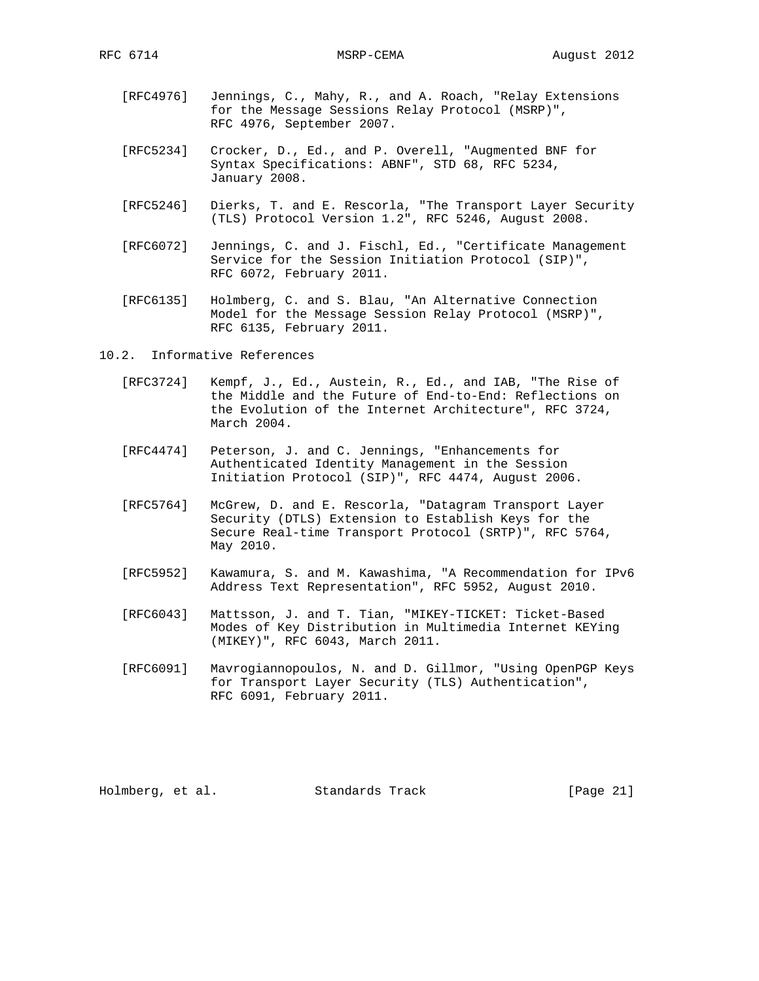- [RFC4976] Jennings, C., Mahy, R., and A. Roach, "Relay Extensions for the Message Sessions Relay Protocol (MSRP)", RFC 4976, September 2007.
- [RFC5234] Crocker, D., Ed., and P. Overell, "Augmented BNF for Syntax Specifications: ABNF", STD 68, RFC 5234, January 2008.
- [RFC5246] Dierks, T. and E. Rescorla, "The Transport Layer Security (TLS) Protocol Version 1.2", RFC 5246, August 2008.
- [RFC6072] Jennings, C. and J. Fischl, Ed., "Certificate Management Service for the Session Initiation Protocol (SIP)", RFC 6072, February 2011.
- [RFC6135] Holmberg, C. and S. Blau, "An Alternative Connection Model for the Message Session Relay Protocol (MSRP)", RFC 6135, February 2011.
- 10.2. Informative References
	- [RFC3724] Kempf, J., Ed., Austein, R., Ed., and IAB, "The Rise of the Middle and the Future of End-to-End: Reflections on the Evolution of the Internet Architecture", RFC 3724, March 2004.
	- [RFC4474] Peterson, J. and C. Jennings, "Enhancements for Authenticated Identity Management in the Session Initiation Protocol (SIP)", RFC 4474, August 2006.
	- [RFC5764] McGrew, D. and E. Rescorla, "Datagram Transport Layer Security (DTLS) Extension to Establish Keys for the Secure Real-time Transport Protocol (SRTP)", RFC 5764, May 2010.
	- [RFC5952] Kawamura, S. and M. Kawashima, "A Recommendation for IPv6 Address Text Representation", RFC 5952, August 2010.
	- [RFC6043] Mattsson, J. and T. Tian, "MIKEY-TICKET: Ticket-Based Modes of Key Distribution in Multimedia Internet KEYing (MIKEY)", RFC 6043, March 2011.
	- [RFC6091] Mavrogiannopoulos, N. and D. Gillmor, "Using OpenPGP Keys for Transport Layer Security (TLS) Authentication", RFC 6091, February 2011.

Holmberg, et al. Standards Track [Page 21]